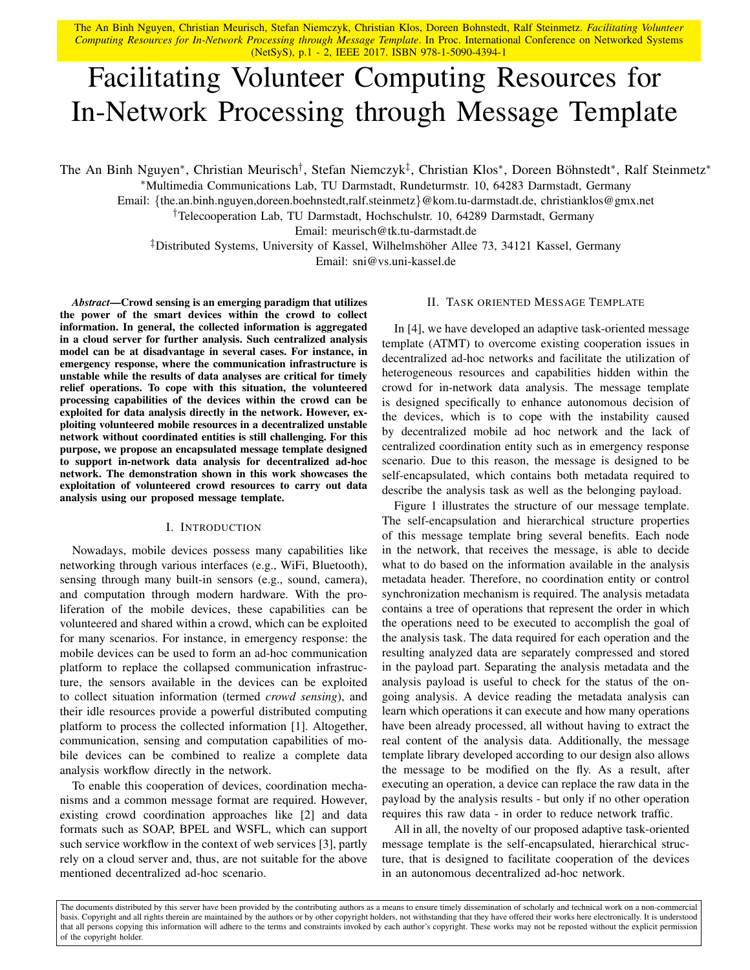The An Binh Nguyen, Christian Meurisch, Stefan Niemczyk, Christian Klos, Doreen Bohnstedt, Ralf Steinmetz. *Facilitating Volunteer Computing Resources for In-Network Processing through Message Template*. In Proc. International Conference on Networked Systems (NetSyS), p.1 - 2, IEEE 2017. ISBN 978-1-5090-4394-1

# Facilitating Volunteer Computing Resources for In-Network Processing through Message Template

The An Binh Nguyen<sup>∗</sup>, Christian Meurisch<sup>†</sup>, Stefan Niemczyk<sup>‡</sup>, Christian Klos<sup>∗</sup>, Doreen Böhnstedt<sup>∗</sup>, Ralf Steinmetz<sup>∗</sup>

<sup>∗</sup>Multimedia Communications Lab, TU Darmstadt, Rundeturmstr. 10, 64283 Darmstadt, Germany

Email: {the.an.binh.nguyen,doreen.boehnstedt,ralf.steinmetz}@kom.tu-darmstadt.de, christianklos@gmx.net

†Telecooperation Lab, TU Darmstadt, Hochschulstr. 10, 64289 Darmstadt, Germany

Email: meurisch@tk.tu-darmstadt.de

‡Distributed Systems, University of Kassel, Wilhelmshoher Allee 73, 34121 Kassel, Germany ¨

Email: sni@vs.uni-kassel.de

*Abstract*—Crowd sensing is an emerging paradigm that utilizes the power of the smart devices within the crowd to collect information. In general, the collected information is aggregated in a cloud server for further analysis. Such centralized analysis model can be at disadvantage in several cases. For instance, in emergency response, where the communication infrastructure is unstable while the results of data analyses are critical for timely relief operations. To cope with this situation, the volunteered processing capabilities of the devices within the crowd can be exploited for data analysis directly in the network. However, exploiting volunteered mobile resources in a decentralized unstable network without coordinated entities is still challenging. For this purpose, we propose an encapsulated message template designed to support in-network data analysis for decentralized ad-hoc network. The demonstration shown in this work showcases the exploitation of volunteered crowd resources to carry out data analysis using our proposed message template.

# I. INTRODUCTION

Nowadays, mobile devices possess many capabilities like networking through various interfaces (e.g., WiFi, Bluetooth), sensing through many built-in sensors (e.g., sound, camera), and computation through modern hardware. With the proliferation of the mobile devices, these capabilities can be volunteered and shared within a crowd, which can be exploited for many scenarios. For instance, in emergency response: the mobile devices can be used to form an ad-hoc communication platform to replace the collapsed communication infrastructure, the sensors available in the devices can be exploited to collect situation information (termed *crowd sensing*), and their idle resources provide a powerful distributed computing platform to process the collected information [1]. Altogether, communication, sensing and computation capabilities of mobile devices can be combined to realize a complete data analysis workflow directly in the network.

To enable this cooperation of devices, coordination mechanisms and a common message format are required. However, existing crowd coordination approaches like [2] and data formats such as SOAP, BPEL and WSFL, which can support such service workflow in the context of web services [3], partly rely on a cloud server and, thus, are not suitable for the above mentioned decentralized ad-hoc scenario.

### II. TASK ORIENTED MESSAGE TEMPLATE

In [4], we have developed an adaptive task-oriented message template (ATMT) to overcome existing cooperation issues in decentralized ad-hoc networks and facilitate the utilization of heterogeneous resources and capabilities hidden within the crowd for in-network data analysis. The message template is designed specifically to enhance autonomous decision of the devices, which is to cope with the instability caused by decentralized mobile ad hoc network and the lack of centralized coordination entity such as in emergency response scenario. Due to this reason, the message is designed to be self-encapsulated, which contains both metadata required to describe the analysis task as well as the belonging payload.

Figure 1 illustrates the structure of our message template. The self-encapsulation and hierarchical structure properties of this message template bring several benefits. Each node in the network, that receives the message, is able to decide what to do based on the information available in the analysis metadata header. Therefore, no coordination entity or control synchronization mechanism is required. The analysis metadata contains a tree of operations that represent the order in which the operations need to be executed to accomplish the goal of the analysis task. The data required for each operation and the resulting analyzed data are separately compressed and stored in the payload part. Separating the analysis metadata and the analysis payload is useful to check for the status of the ongoing analysis. A device reading the metadata analysis can learn which operations it can execute and how many operations have been already processed, all without having to extract the real content of the analysis data. Additionally, the message template library developed according to our design also allows the message to be modified on the fly. As a result, after executing an operation, a device can replace the raw data in the payload by the analysis results - but only if no other operation requires this raw data - in order to reduce network traffic.

All in all, the novelty of our proposed adaptive task-oriented message template is the self-encapsulated, hierarchical structure, that is designed to facilitate cooperation of the devices in an autonomous decentralized ad-hoc network.

The documents distributed by this server have been provided by the contributing authors as a means to ensure timely dissemination of scholarly and technical work on a non-commercial basis. Copyright and all rights therein are maintained by the authors or by other copyright holders, not withstanding that they have offered their works here electronically. It is understood that all persons copying this information will adhere to the terms and constraints invoked by each author's copyright. These works may not be reposted without the explicit permission of the copyright holder.